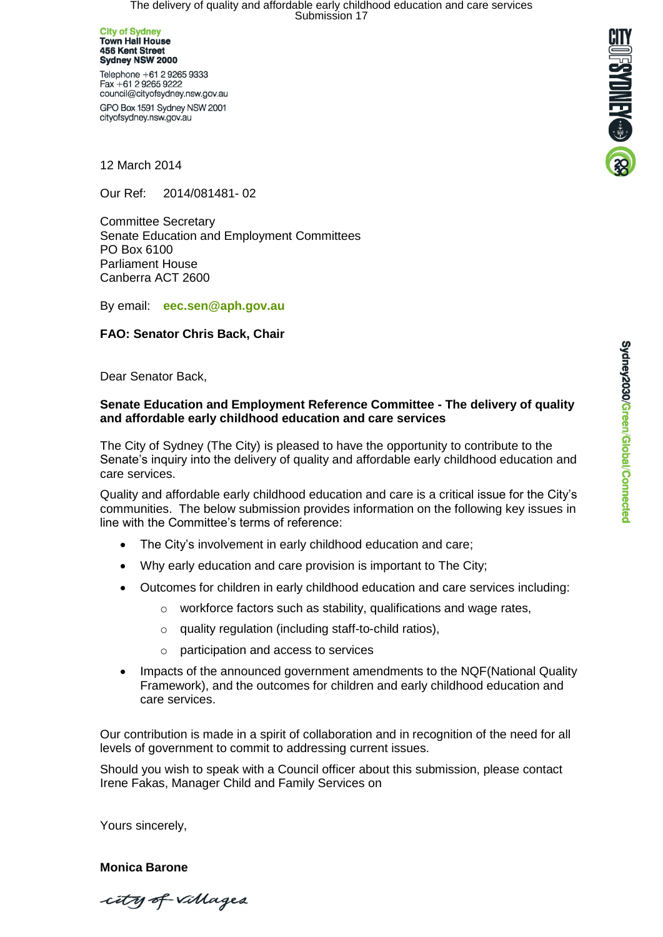The delivery of quality and affordable early childhood education and care services<br>Submission 17

**City of Sydney<br>Town Hall House** 456 Kent Street Sydney NSW 2000

Telephone +61 2 9265 9333 Fax +61 2 9265 9222 council@cityofsydney.nsw.gov.au GPO Box 1591 Sydney NSW 2001

cityofsydney.nsw.gov.au



12 March 2014

Our Ref: 2014/081481- 02

Committee Secretary Senate Education and Employment Committees PO Box 6100 Parliament House Canberra ACT 2600

By email: **[eec.sen@aph.gov.au](mailto:eec.sen@aph.gov.au)**

#### **FAO: Senator Chris Back, Chair**

Dear Senator Back,

#### **Senate Education and Employment Reference Committee - The delivery of quality and affordable early childhood education and care services**

The City of Sydney (The City) is pleased to have the opportunity to contribute to the Senate's inquiry into the delivery of quality and affordable early childhood education and care services.

Quality and affordable early childhood education and care is a critical issue for the City's communities. The below submission provides information on the following key issues in line with the Committee's terms of reference:

- The City's involvement in early childhood education and care;
- Why early education and care provision is important to The City;
- Outcomes for children in early childhood education and care services including:
	- $\circ$  workforce factors such as stability, qualifications and wage rates,
	- o quality regulation (including staff-to-child ratios),
	- o participation and access to services
- Impacts of the announced government amendments to the NQF(National Quality Framework), and the outcomes for children and early childhood education and care services.

Our contribution is made in a spirit of collaboration and in recognition of the need for all levels of government to commit to addressing current issues.

Should you wish to speak with a Council officer about this submission, please contact Irene Fakas, Manager Child and Family Services on

Yours sincerely,

**Monica Barone** 

city of villages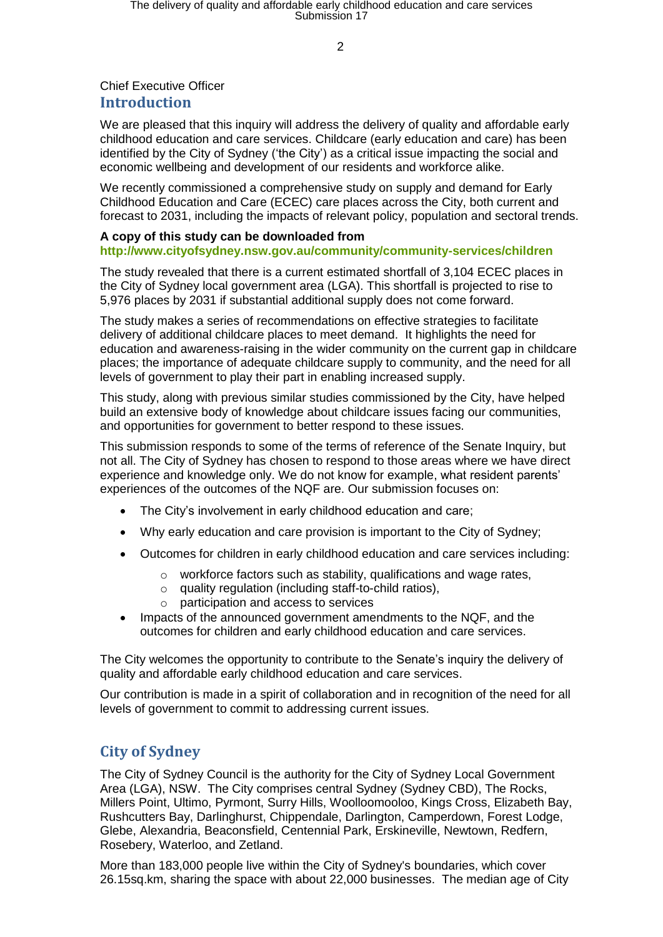$\overline{2}$ 

## Chief Executive Officer **Introduction**

We are pleased that this inquiry will address the delivery of quality and affordable early childhood education and care services. Childcare (early education and care) has been identified by the City of Sydney ('the City') as a critical issue impacting the social and economic wellbeing and development of our residents and workforce alike.

We recently commissioned a comprehensive study on supply and demand for Early Childhood Education and Care (ECEC) care places across the City, both current and forecast to 2031, including the impacts of relevant policy, population and sectoral trends.

#### **A copy of this study can be downloaded from**

### **<http://www.cityofsydney.nsw.gov.au/community/community-services/children>**

The study revealed that there is a current estimated shortfall of 3,104 ECEC places in the City of Sydney local government area (LGA). This shortfall is projected to rise to 5,976 places by 2031 if substantial additional supply does not come forward.

The study makes a series of recommendations on effective strategies to facilitate delivery of additional childcare places to meet demand. It highlights the need for education and awareness-raising in the wider community on the current gap in childcare places; the importance of adequate childcare supply to community, and the need for all levels of government to play their part in enabling increased supply.

This study, along with previous similar studies commissioned by the City, have helped build an extensive body of knowledge about childcare issues facing our communities, and opportunities for government to better respond to these issues.

This submission responds to some of the terms of reference of the Senate Inquiry, but not all. The City of Sydney has chosen to respond to those areas where we have direct experience and knowledge only. We do not know for example, what resident parents' experiences of the outcomes of the NQF are. Our submission focuses on:

- The City's involvement in early childhood education and care;
- Why early education and care provision is important to the City of Sydney;
- Outcomes for children in early childhood education and care services including:
	- o workforce factors such as stability, qualifications and wage rates,
	- o quality regulation (including staff-to-child ratios),
	- o participation and access to services
- Impacts of the announced government amendments to the NQF, and the outcomes for children and early childhood education and care services.

The City welcomes the opportunity to contribute to the Senate's inquiry the delivery of quality and affordable early childhood education and care services.

Our contribution is made in a spirit of collaboration and in recognition of the need for all levels of government to commit to addressing current issues.

# **City of Sydney**

The City of Sydney Council is the authority for the City of Sydney Local Government Area (LGA), NSW. The City comprises central Sydney (Sydney CBD), The Rocks, Millers Point, Ultimo, Pyrmont, Surry Hills, Woolloomooloo, Kings Cross, Elizabeth Bay, Rushcutters Bay, Darlinghurst, Chippendale, Darlington, Camperdown, Forest Lodge, Glebe, Alexandria, Beaconsfield, Centennial Park, Erskineville, Newtown, Redfern, Rosebery, Waterloo, and Zetland.

More than 183,000 people live within the City of Sydney's boundaries, which cover 26.15sq.km, sharing the space with about 22,000 businesses. The median age of City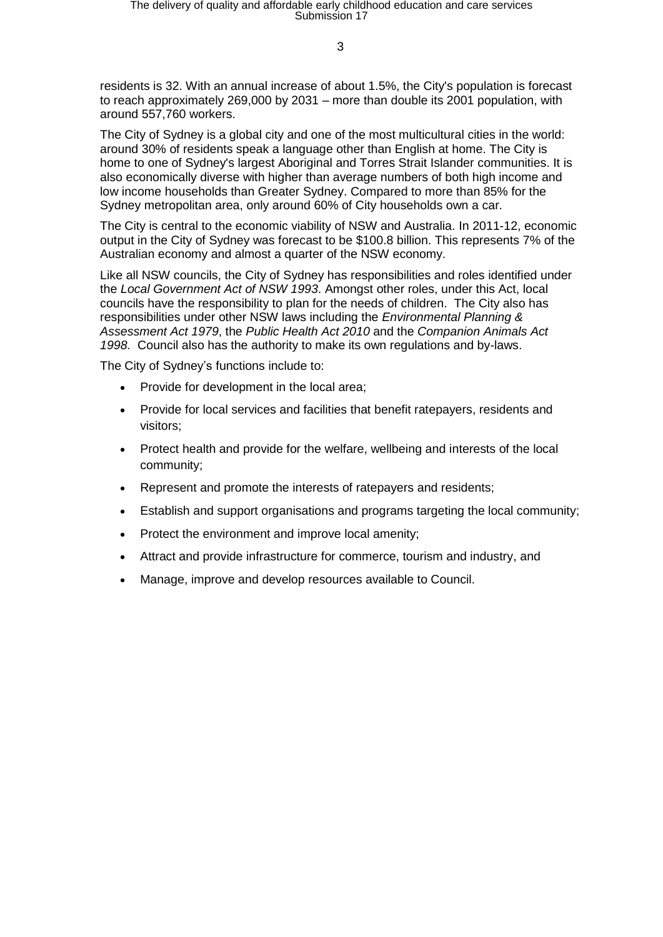residents is 32. With an annual increase of about 1.5%, the City's population is forecast to reach approximately 269,000 by 2031 – more than double its 2001 population, with around 557,760 workers.

The City of Sydney is a global city and one of the most multicultural cities in the world: around 30% of residents speak a language other than English at home. The City is home to one of Sydney's largest Aboriginal and Torres Strait Islander communities. It is also economically diverse with higher than average numbers of both high income and low income households than Greater Sydney. Compared to more than 85% for the Sydney metropolitan area, only around 60% of City households own a car.

The City is central to the economic viability of NSW and Australia. In 2011-12, economic output in the City of Sydney was forecast to be \$100.8 billion. This represents 7% of the Australian economy and almost a quarter of the NSW economy.

Like all NSW councils, the City of Sydney has responsibilities and roles identified under the *Local Government Act of NSW 1993*. Amongst other roles, under this Act, local councils have the responsibility to plan for the needs of children. The City also has responsibilities under other NSW laws including the *Environmental Planning & Assessment Act 1979*, the *Public Health Act 2010* and the *Companion Animals Act 1998.* Council also has the authority to make its own regulations and by-laws.

The City of Sydney's functions include to:

- Provide for development in the local area;
- Provide for local services and facilities that benefit ratepayers, residents and visitors;
- Protect health and provide for the welfare, wellbeing and interests of the local community;
- Represent and promote the interests of ratepayers and residents;
- Establish and support organisations and programs targeting the local community;
- Protect the environment and improve local amenity;
- Attract and provide infrastructure for commerce, tourism and industry, and
- Manage, improve and develop resources available to Council.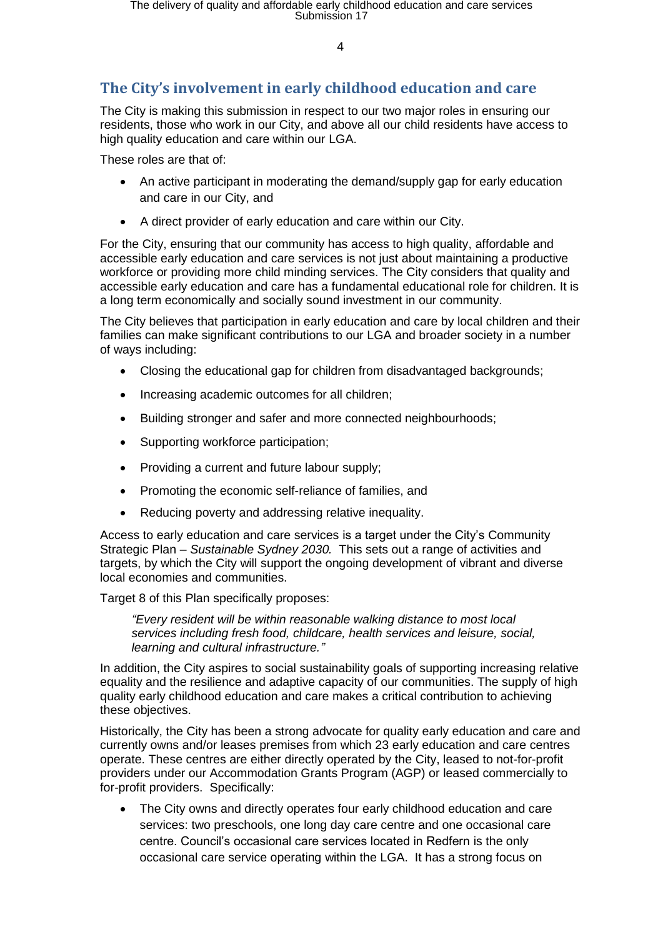# **The City's involvement in early childhood education and care**

The City is making this submission in respect to our two major roles in ensuring our residents, those who work in our City, and above all our child residents have access to high quality education and care within our LGA.

These roles are that of:

- An active participant in moderating the demand/supply gap for early education and care in our City, and
- A direct provider of early education and care within our City.

For the City, ensuring that our community has access to high quality, affordable and accessible early education and care services is not just about maintaining a productive workforce or providing more child minding services. The City considers that quality and accessible early education and care has a fundamental educational role for children. It is a long term economically and socially sound investment in our community.

The City believes that participation in early education and care by local children and their families can make significant contributions to our LGA and broader society in a number of ways including:

- Closing the educational gap for children from disadvantaged backgrounds;
- Increasing academic outcomes for all children;
- Building stronger and safer and more connected neighbourhoods;
- Supporting workforce participation;
- Providing a current and future labour supply;
- Promoting the economic self-reliance of families, and
- Reducing poverty and addressing relative inequality.

Access to early education and care services is a target under the City's Community Strategic Plan *– Sustainable Sydney 2030.* This sets out a range of activities and targets, by which the City will support the ongoing development of vibrant and diverse local economies and communities.

Target 8 of this Plan specifically proposes:

*"Every resident will be within reasonable walking distance to most local services including fresh food, childcare, health services and leisure, social, learning and cultural infrastructure."*

In addition, the City aspires to social sustainability goals of supporting increasing relative equality and the resilience and adaptive capacity of our communities. The supply of high quality early childhood education and care makes a critical contribution to achieving these objectives.

Historically, the City has been a strong advocate for quality early education and care and currently owns and/or leases premises from which 23 early education and care centres operate. These centres are either directly operated by the City, leased to not-for-profit providers under our Accommodation Grants Program (AGP) or leased commercially to for-profit providers. Specifically:

 The City owns and directly operates four early childhood education and care services: two preschools, one long day care centre and one occasional care centre. Council's occasional care services located in Redfern is the only occasional care service operating within the LGA. It has a strong focus on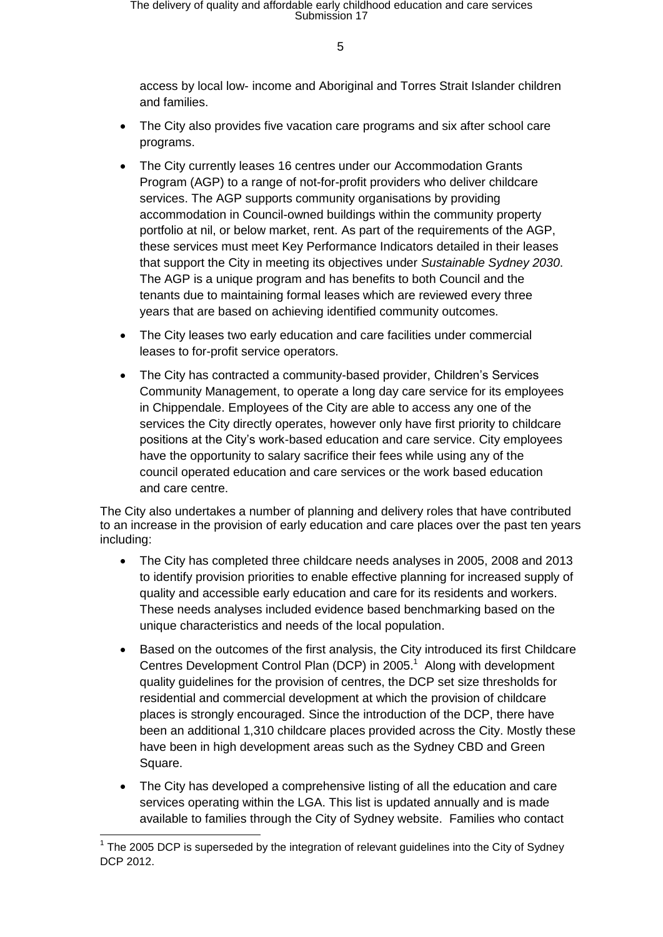access by local low- income and Aboriginal and Torres Strait Islander children and families.

- The City also provides five vacation care programs and six after school care programs.
- The City currently leases 16 centres under our Accommodation Grants Program (AGP) to a range of not-for-profit providers who deliver childcare services. The AGP supports community organisations by providing accommodation in Council-owned buildings within the community property portfolio at nil, or below market, rent. As part of the requirements of the AGP, these services must meet Key Performance Indicators detailed in their leases that support the City in meeting its objectives under *Sustainable Sydney 2030*. The AGP is a unique program and has benefits to both Council and the tenants due to maintaining formal leases which are reviewed every three years that are based on achieving identified community outcomes.
- The City leases two early education and care facilities under commercial leases to for-profit service operators.
- The City has contracted a community-based provider, Children's Services Community Management, to operate a long day care service for its employees in Chippendale. Employees of the City are able to access any one of the services the City directly operates, however only have first priority to childcare positions at the City's work-based education and care service. City employees have the opportunity to salary sacrifice their fees while using any of the council operated education and care services or the work based education and care centre.

The City also undertakes a number of planning and delivery roles that have contributed to an increase in the provision of early education and care places over the past ten years including:

- The City has completed three childcare needs analyses in 2005, 2008 and 2013 to identify provision priorities to enable effective planning for increased supply of quality and accessible early education and care for its residents and workers. These needs analyses included evidence based benchmarking based on the unique characteristics and needs of the local population.
- Based on the outcomes of the first analysis, the City introduced its first Childcare Centres Development Control Plan (DCP) in 2005.<sup>1</sup> Along with development quality guidelines for the provision of centres, the DCP set size thresholds for residential and commercial development at which the provision of childcare places is strongly encouraged. Since the introduction of the DCP, there have been an additional 1,310 childcare places provided across the City. Mostly these have been in high development areas such as the Sydney CBD and Green Square.
- The City has developed a comprehensive listing of all the education and care services operating within the LGA. This list is updated annually and is made available to families through the City of Sydney website. Families who contact

 $\overline{\phantom{a}}$  $1$  The 2005 DCP is superseded by the integration of relevant guidelines into the City of Sydney DCP 2012.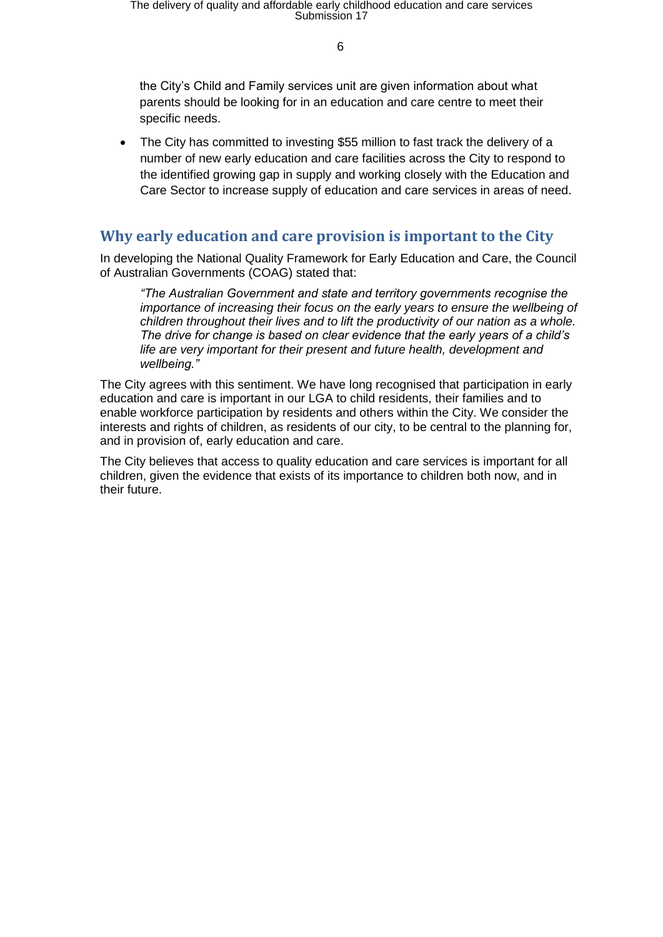the City's Child and Family services unit are given information about what parents should be looking for in an education and care centre to meet their specific needs.

 The City has committed to investing \$55 million to fast track the delivery of a number of new early education and care facilities across the City to respond to the identified growing gap in supply and working closely with the Education and Care Sector to increase supply of education and care services in areas of need.

# **Why early education and care provision is important to the City**

In developing the National Quality Framework for Early Education and Care, the Council of Australian Governments (COAG) stated that:

*"The Australian Government and state and territory governments recognise the importance of increasing their focus on the early years to ensure the wellbeing of children throughout their lives and to lift the productivity of our nation as a whole. The drive for change is based on clear evidence that the early years of a child's life are very important for their present and future health, development and wellbeing."* 

The City agrees with this sentiment. We have long recognised that participation in early education and care is important in our LGA to child residents, their families and to enable workforce participation by residents and others within the City. We consider the interests and rights of children, as residents of our city, to be central to the planning for, and in provision of, early education and care.

The City believes that access to quality education and care services is important for all children, given the evidence that exists of its importance to children both now, and in their future.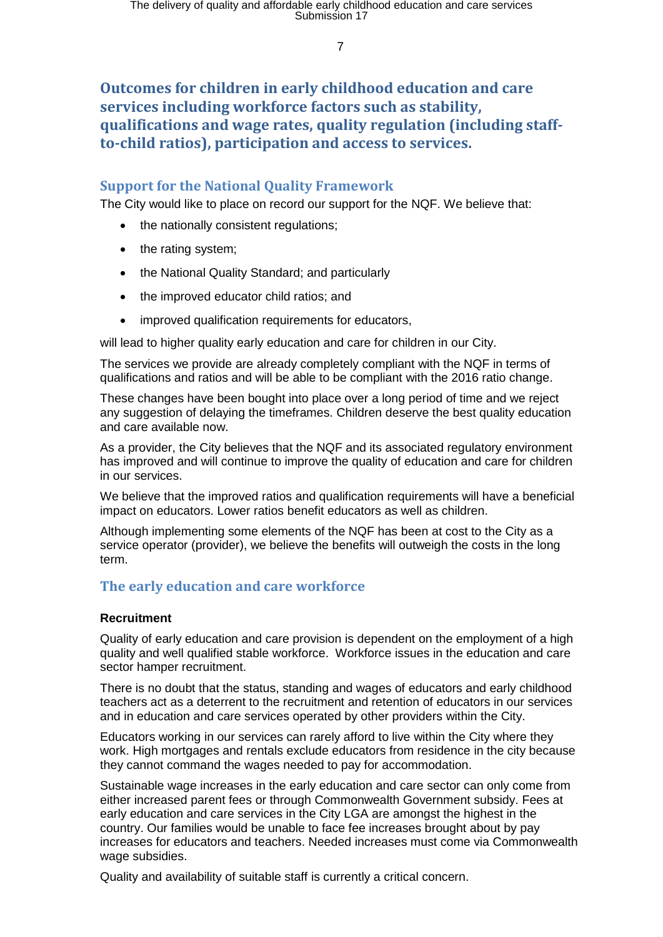# **Outcomes for children in early childhood education and care services including workforce factors such as stability, qualifications and wage rates, quality regulation (including staffto-child ratios), participation and access to services.**

## **Support for the National Quality Framework**

The City would like to place on record our support for the NQF. We believe that:

- the nationally consistent regulations;
- the rating system;
- the National Quality Standard; and particularly
- the improved educator child ratios; and
- improved qualification requirements for educators,

will lead to higher quality early education and care for children in our City.

The services we provide are already completely compliant with the NQF in terms of qualifications and ratios and will be able to be compliant with the 2016 ratio change.

These changes have been bought into place over a long period of time and we reject any suggestion of delaying the timeframes. Children deserve the best quality education and care available now.

As a provider, the City believes that the NQF and its associated regulatory environment has improved and will continue to improve the quality of education and care for children in our services.

We believe that the improved ratios and qualification requirements will have a beneficial impact on educators. Lower ratios benefit educators as well as children.

Although implementing some elements of the NQF has been at cost to the City as a service operator (provider), we believe the benefits will outweigh the costs in the long term.

## **The early education and care workforce**

#### **Recruitment**

Quality of early education and care provision is dependent on the employment of a high quality and well qualified stable workforce. Workforce issues in the education and care sector hamper recruitment.

There is no doubt that the status, standing and wages of educators and early childhood teachers act as a deterrent to the recruitment and retention of educators in our services and in education and care services operated by other providers within the City.

Educators working in our services can rarely afford to live within the City where they work. High mortgages and rentals exclude educators from residence in the city because they cannot command the wages needed to pay for accommodation.

Sustainable wage increases in the early education and care sector can only come from either increased parent fees or through Commonwealth Government subsidy. Fees at early education and care services in the City LGA are amongst the highest in the country. Our families would be unable to face fee increases brought about by pay increases for educators and teachers. Needed increases must come via Commonwealth wage subsidies.

Quality and availability of suitable staff is currently a critical concern.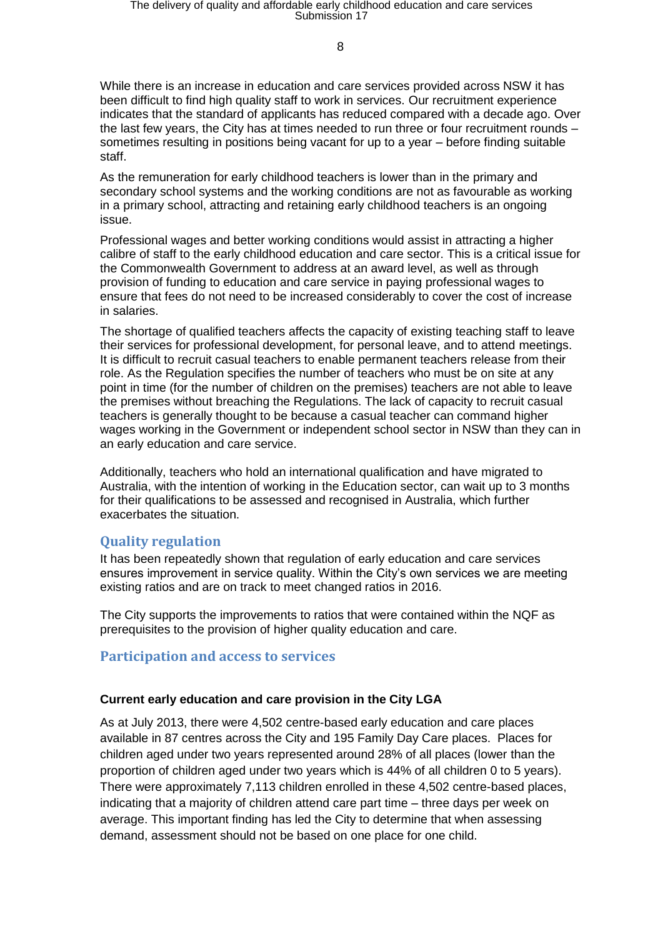While there is an increase in education and care services provided across NSW it has been difficult to find high quality staff to work in services. Our recruitment experience indicates that the standard of applicants has reduced compared with a decade ago. Over the last few years, the City has at times needed to run three or four recruitment rounds – sometimes resulting in positions being vacant for up to a year – before finding suitable staff.

As the remuneration for early childhood teachers is lower than in the primary and secondary school systems and the working conditions are not as favourable as working in a primary school, attracting and retaining early childhood teachers is an ongoing issue.

Professional wages and better working conditions would assist in attracting a higher calibre of staff to the early childhood education and care sector. This is a critical issue for the Commonwealth Government to address at an award level, as well as through provision of funding to education and care service in paying professional wages to ensure that fees do not need to be increased considerably to cover the cost of increase in salaries.

The shortage of qualified teachers affects the capacity of existing teaching staff to leave their services for professional development, for personal leave, and to attend meetings. It is difficult to recruit casual teachers to enable permanent teachers release from their role. As the Regulation specifies the number of teachers who must be on site at any point in time (for the number of children on the premises) teachers are not able to leave the premises without breaching the Regulations. The lack of capacity to recruit casual teachers is generally thought to be because a casual teacher can command higher wages working in the Government or independent school sector in NSW than they can in an early education and care service.

Additionally, teachers who hold an international qualification and have migrated to Australia, with the intention of working in the Education sector, can wait up to 3 months for their qualifications to be assessed and recognised in Australia, which further exacerbates the situation.

## **Quality regulation**

It has been repeatedly shown that regulation of early education and care services ensures improvement in service quality. Within the City's own services we are meeting existing ratios and are on track to meet changed ratios in 2016.

The City supports the improvements to ratios that were contained within the NQF as prerequisites to the provision of higher quality education and care.

## **Participation and access to services**

#### **Current early education and care provision in the City LGA**

As at July 2013, there were 4,502 centre-based early education and care places available in 87 centres across the City and 195 Family Day Care places. Places for children aged under two years represented around 28% of all places (lower than the proportion of children aged under two years which is 44% of all children 0 to 5 years). There were approximately 7,113 children enrolled in these 4,502 centre-based places, indicating that a majority of children attend care part time – three days per week on average. This important finding has led the City to determine that when assessing demand, assessment should not be based on one place for one child.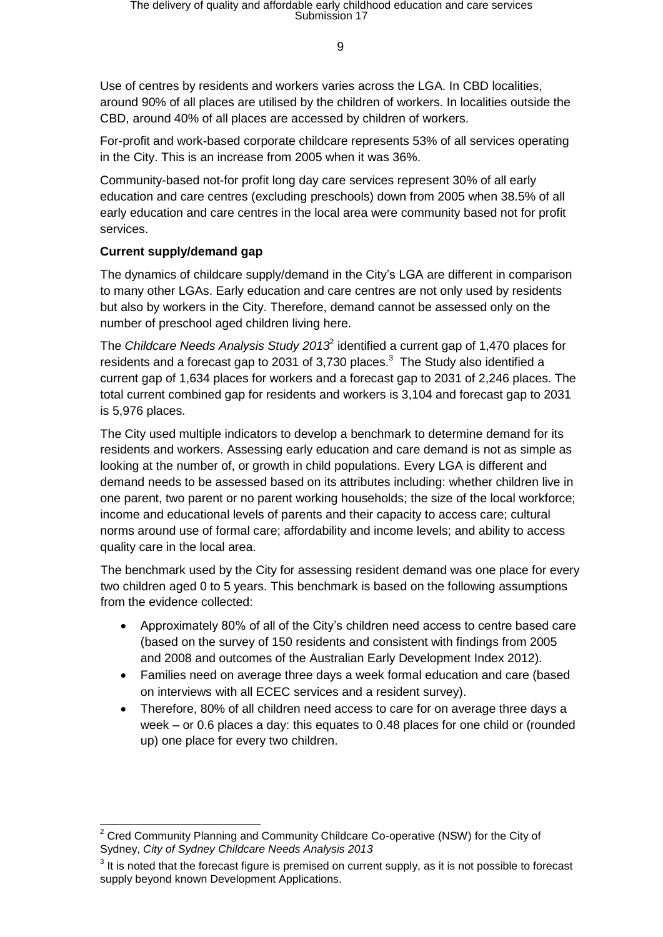$\mathbf q$ 

Use of centres by residents and workers varies across the LGA. In CBD localities, around 90% of all places are utilised by the children of workers. In localities outside the CBD, around 40% of all places are accessed by children of workers.

For-profit and work-based corporate childcare represents 53% of all services operating in the City. This is an increase from 2005 when it was 36%.

Community-based not-for profit long day care services represent 30% of all early education and care centres (excluding preschools) down from 2005 when 38.5% of all early education and care centres in the local area were community based not for profit services.

## **Current supply/demand gap**

The dynamics of childcare supply/demand in the City's LGA are different in comparison to many other LGAs. Early education and care centres are not only used by residents but also by workers in the City. Therefore, demand cannot be assessed only on the number of preschool aged children living here.

The *Childcare Needs Analysis Study 2013*<sup>2</sup> identified a current gap of 1,470 places for residents and a forecast gap to 2031 of 3,730 places. $3$  The Study also identified a current gap of 1,634 places for workers and a forecast gap to 2031 of 2,246 places. The total current combined gap for residents and workers is 3,104 and forecast gap to 2031 is 5,976 places.

The City used multiple indicators to develop a benchmark to determine demand for its residents and workers. Assessing early education and care demand is not as simple as looking at the number of, or growth in child populations. Every LGA is different and demand needs to be assessed based on its attributes including: whether children live in one parent, two parent or no parent working households; the size of the local workforce; income and educational levels of parents and their capacity to access care; cultural norms around use of formal care; affordability and income levels; and ability to access quality care in the local area.

The benchmark used by the City for assessing resident demand was one place for every two children aged 0 to 5 years. This benchmark is based on the following assumptions from the evidence collected:

- Approximately 80% of all of the City's children need access to centre based care (based on the survey of 150 residents and consistent with findings from 2005 and 2008 and outcomes of the Australian Early Development Index 2012).
- Families need on average three days a week formal education and care (based on interviews with all ECEC services and a resident survey).
- Therefore, 80% of all children need access to care for on average three days a week – or 0.6 places a day: this equates to 0.48 places for one child or (rounded up) one place for every two children.

  $2$  Cred Community Planning and Community Childcare Co-operative (NSW) for the City of Sydney, *City of Sydney Childcare Needs Analysis 2013*

 $3$  It is noted that the forecast figure is premised on current supply, as it is not possible to forecast supply beyond known Development Applications.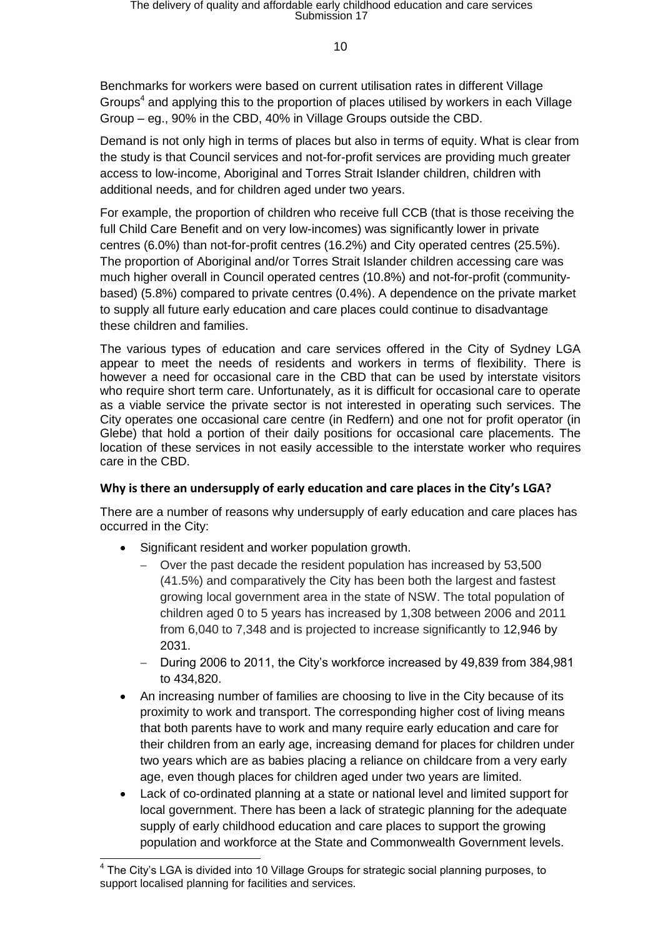Benchmarks for workers were based on current utilisation rates in different Village Groups<sup>4</sup> and applying this to the proportion of places utilised by workers in each Village Group – eg., 90% in the CBD, 40% in Village Groups outside the CBD.

Demand is not only high in terms of places but also in terms of equity. What is clear from the study is that Council services and not-for-profit services are providing much greater access to low-income, Aboriginal and Torres Strait Islander children, children with additional needs, and for children aged under two years.

For example, the proportion of children who receive full CCB (that is those receiving the full Child Care Benefit and on very low-incomes) was significantly lower in private centres (6.0%) than not-for-profit centres (16.2%) and City operated centres (25.5%). The proportion of Aboriginal and/or Torres Strait Islander children accessing care was much higher overall in Council operated centres (10.8%) and not-for-profit (communitybased) (5.8%) compared to private centres (0.4%). A dependence on the private market to supply all future early education and care places could continue to disadvantage these children and families.

The various types of education and care services offered in the City of Sydney LGA appear to meet the needs of residents and workers in terms of flexibility. There is however a need for occasional care in the CBD that can be used by interstate visitors who require short term care. Unfortunately, as it is difficult for occasional care to operate as a viable service the private sector is not interested in operating such services. The City operates one occasional care centre (in Redfern) and one not for profit operator (in Glebe) that hold a portion of their daily positions for occasional care placements. The location of these services in not easily accessible to the interstate worker who requires care in the CBD.

## **Why is there an undersupply of early education and care places in the City's LGA?**

There are a number of reasons why undersupply of early education and care places has occurred in the City:

• Significant resident and worker population growth.

 $\overline{a}$ 

- Over the past decade the resident population has increased by 53,500 (41.5%) and comparatively the City has been both the largest and fastest growing local government area in the state of NSW. The total population of children aged 0 to 5 years has increased by 1,308 between 2006 and 2011 from 6,040 to 7,348 and is projected to increase significantly to 12,946 by 2031.
- During 2006 to 2011, the City's workforce increased by 49,839 from 384,981 to 434,820.
- An increasing number of families are choosing to live in the City because of its proximity to work and transport. The corresponding higher cost of living means that both parents have to work and many require early education and care for their children from an early age, increasing demand for places for children under two years which are as babies placing a reliance on childcare from a very early age, even though places for children aged under two years are limited.
- Lack of co-ordinated planning at a state or national level and limited support for local government. There has been a lack of strategic planning for the adequate supply of early childhood education and care places to support the growing population and workforce at the State and Commonwealth Government levels.

<sup>&</sup>lt;sup>4</sup> The City's LGA is divided into 10 Village Groups for strategic social planning purposes, to support localised planning for facilities and services.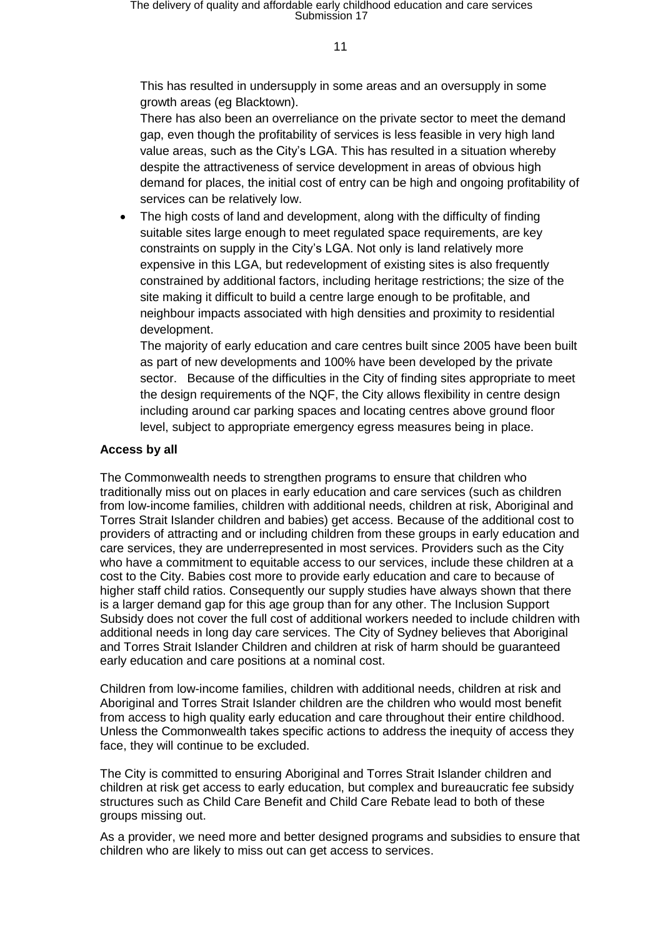This has resulted in undersupply in some areas and an oversupply in some growth areas (eg Blacktown).

There has also been an overreliance on the private sector to meet the demand gap, even though the profitability of services is less feasible in very high land value areas, such as the City's LGA. This has resulted in a situation whereby despite the attractiveness of service development in areas of obvious high demand for places, the initial cost of entry can be high and ongoing profitability of services can be relatively low.

 The high costs of land and development, along with the difficulty of finding suitable sites large enough to meet regulated space requirements, are key constraints on supply in the City's LGA. Not only is land relatively more expensive in this LGA, but redevelopment of existing sites is also frequently constrained by additional factors, including heritage restrictions; the size of the site making it difficult to build a centre large enough to be profitable, and neighbour impacts associated with high densities and proximity to residential development.

The majority of early education and care centres built since 2005 have been built as part of new developments and 100% have been developed by the private sector. Because of the difficulties in the City of finding sites appropriate to meet the design requirements of the NQF, the City allows flexibility in centre design including around car parking spaces and locating centres above ground floor level, subject to appropriate emergency egress measures being in place.

#### **Access by all**

The Commonwealth needs to strengthen programs to ensure that children who traditionally miss out on places in early education and care services (such as children from low-income families, children with additional needs, children at risk, Aboriginal and Torres Strait Islander children and babies) get access. Because of the additional cost to providers of attracting and or including children from these groups in early education and care services, they are underrepresented in most services. Providers such as the City who have a commitment to equitable access to our services, include these children at a cost to the City. Babies cost more to provide early education and care to because of higher staff child ratios. Consequently our supply studies have always shown that there is a larger demand gap for this age group than for any other. The Inclusion Support Subsidy does not cover the full cost of additional workers needed to include children with additional needs in long day care services. The City of Sydney believes that Aboriginal and Torres Strait Islander Children and children at risk of harm should be guaranteed early education and care positions at a nominal cost.

Children from low-income families, children with additional needs, children at risk and Aboriginal and Torres Strait Islander children are the children who would most benefit from access to high quality early education and care throughout their entire childhood. Unless the Commonwealth takes specific actions to address the inequity of access they face, they will continue to be excluded.

The City is committed to ensuring Aboriginal and Torres Strait Islander children and children at risk get access to early education, but complex and bureaucratic fee subsidy structures such as Child Care Benefit and Child Care Rebate lead to both of these groups missing out.

As a provider, we need more and better designed programs and subsidies to ensure that children who are likely to miss out can get access to services.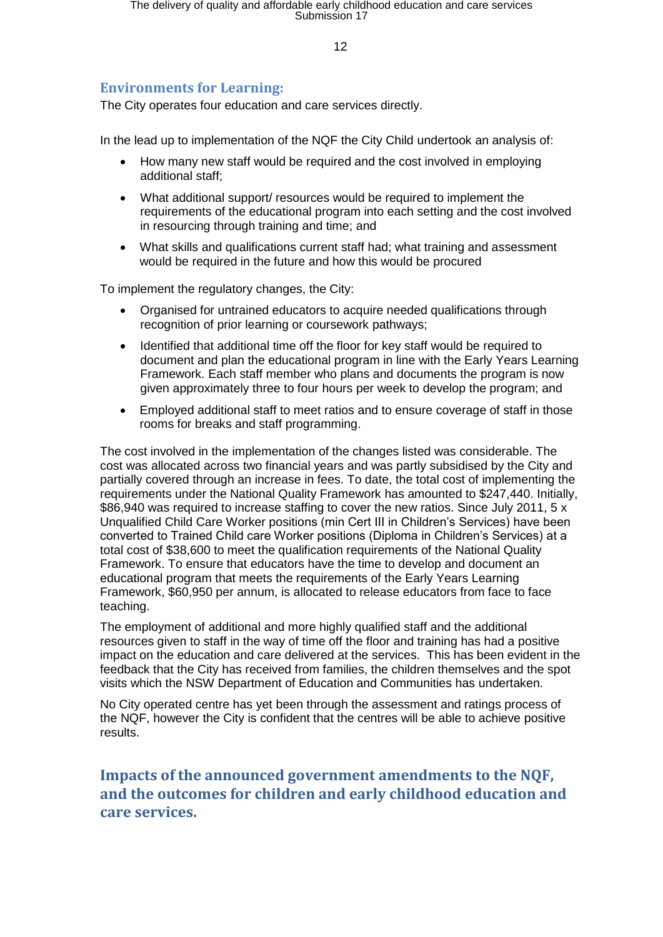## **Environments for Learning:**

The City operates four education and care services directly.

In the lead up to implementation of the NQF the City Child undertook an analysis of:

- How many new staff would be required and the cost involved in employing additional staff;
- What additional support/ resources would be required to implement the requirements of the educational program into each setting and the cost involved in resourcing through training and time; and
- What skills and qualifications current staff had; what training and assessment would be required in the future and how this would be procured

To implement the regulatory changes, the City:

- Organised for untrained educators to acquire needed qualifications through recognition of prior learning or coursework pathways;
- Identified that additional time off the floor for key staff would be required to document and plan the educational program in line with the Early Years Learning Framework. Each staff member who plans and documents the program is now given approximately three to four hours per week to develop the program; and
- Employed additional staff to meet ratios and to ensure coverage of staff in those rooms for breaks and staff programming.

The cost involved in the implementation of the changes listed was considerable. The cost was allocated across two financial years and was partly subsidised by the City and partially covered through an increase in fees. To date, the total cost of implementing the requirements under the National Quality Framework has amounted to \$247,440. Initially, \$86,940 was required to increase staffing to cover the new ratios. Since July 2011, 5 x Unqualified Child Care Worker positions (min Cert III in Children's Services) have been converted to Trained Child care Worker positions (Diploma in Children's Services) at a total cost of \$38,600 to meet the qualification requirements of the National Quality Framework. To ensure that educators have the time to develop and document an educational program that meets the requirements of the Early Years Learning Framework, \$60,950 per annum, is allocated to release educators from face to face teaching.

The employment of additional and more highly qualified staff and the additional resources given to staff in the way of time off the floor and training has had a positive impact on the education and care delivered at the services. This has been evident in the feedback that the City has received from families, the children themselves and the spot visits which the NSW Department of Education and Communities has undertaken.

No City operated centre has yet been through the assessment and ratings process of the NQF, however the City is confident that the centres will be able to achieve positive results.

**Impacts of the announced government amendments to the NQF, and the outcomes for children and early childhood education and care services.**